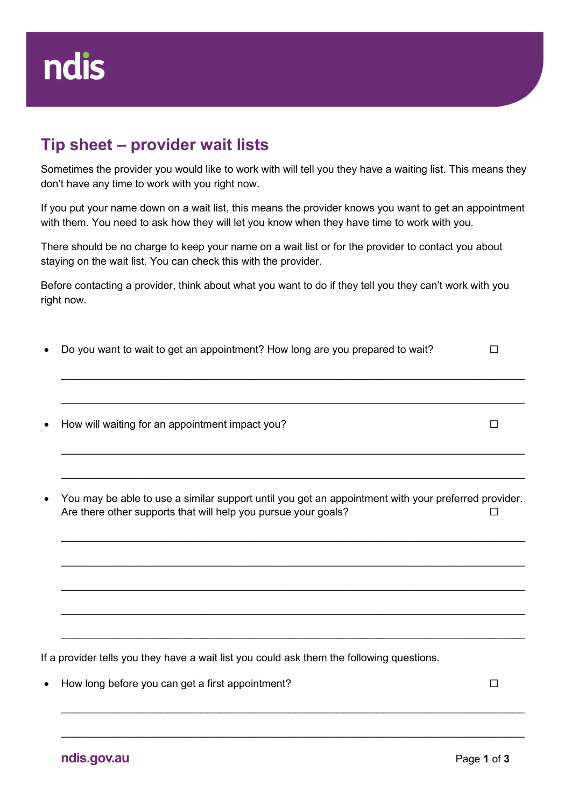## Tip sheet – provider wait lists

Sometimes the provider you would like to work with will tell you they have a waiting list. This means they don't have any time to work with you right now.

If you put your name down on a wait list, this means the provider knows you want to get an appointment with them. You need to ask how they will let you know when they have time to work with you.

There should be no charge to keep your name on a wait list or for the provider to contact you about staying on the wait list. You can check this with the provider.

Before contacting a provider, think about what you want to do if they tell you they can't work with you right now.

| • Do you want to wait to get an appointment? How long are you prepared to wait? | ப |
|---------------------------------------------------------------------------------|---|
|                                                                                 |   |
|                                                                                 |   |
|                                                                                 |   |

- How will waiting for an appointment impact you? □
- You may be able to use a similar support until you get an appointment with your preferred provider. Are there other supports that will help you pursue your goals? □

 $\_$  , and the contribution of the contribution of the contribution of the contribution of the contribution of  $\mathcal{L}_\text{max}$ 

 $\_$  , and the set of the set of the set of the set of the set of the set of the set of the set of the set of the set of the set of the set of the set of the set of the set of the set of the set of the set of the set of th

 $\_$  , and the contribution of the contribution of the contribution of the contribution of  $\mathcal{L}_\text{max}$ 

 $\_$  , and the contribution of the contribution of the contribution of the contribution of  $\mathcal{L}_\text{max}$ 

 $\_$  , and the contribution of the contribution of the contribution of the contribution of the contribution of  $\mathcal{L}_\text{max}$ 

 $\_$  , and the contribution of the contribution of the contribution of the contribution of  $\mathcal{L}_\text{max}$ 

If a provider tells you they have a wait list you could ask them the following questions.

How long before you can get a first appointment? □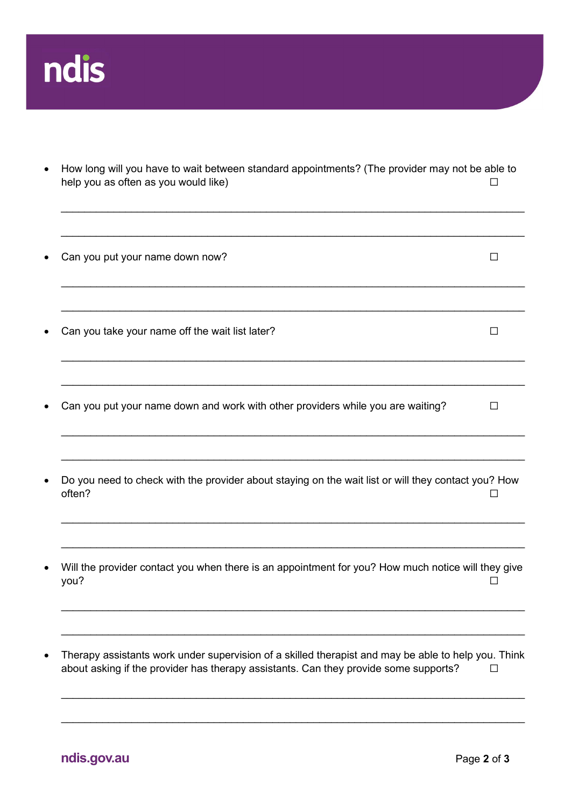

• How long will you have to wait between standard appointments? (The provider may not be able to help you as often as you would like)  $\Box$ 

 $\_$  , and the contribution of the contribution of the contribution of the contribution of the contribution of  $\mathcal{L}_\text{max}$ 

- $\_$  , and the set of the set of the set of the set of the set of the set of the set of the set of the set of the set of the set of the set of the set of the set of the set of the set of the set of the set of the set of th Can you put your name down now? ☐  $\_$  , and the contribution of the contribution of the contribution of the contribution of  $\mathcal{L}_\text{max}$ ■ Can you take your name off the wait list later? △ □  $\_$  , and the set of the set of the set of the set of the set of the set of the set of the set of the set of the set of the set of the set of the set of the set of the set of the set of the set of the set of the set of th  $\_$  , and the contribution of the contribution of the contribution of the contribution of  $\mathcal{L}_\text{max}$ • Can you put your name down and work with other providers while you are waiting? □  $\_$  , and the contribution of the contribution of the contribution of the contribution of  $\mathcal{L}_\text{max}$  Do you need to check with the provider about staying on the wait list or will they contact you? How often?  $\Box$  $\_$  , and the set of the set of the set of the set of the set of the set of the set of the set of the set of the set of the set of the set of the set of the set of the set of the set of the set of the set of the set of th  $\_$  , and the contribution of the contribution of the contribution of the contribution of  $\mathcal{L}_\text{max}$  Will the provider contact you when there is an appointment for you? How much notice will they give you?  $\hfill\square$  $\_$  , and the contribution of the contribution of the contribution of the contribution of  $\mathcal{L}_\text{max}$  $\_$  , and the contribution of the contribution of the contribution of the contribution of  $\mathcal{L}_\text{max}$ • Therapy assistants work under supervision of a skilled therapist and may be able to help you. Think
- about asking if the provider has therapy assistants. Can they provide some supports?  $\Box$

 $\_$